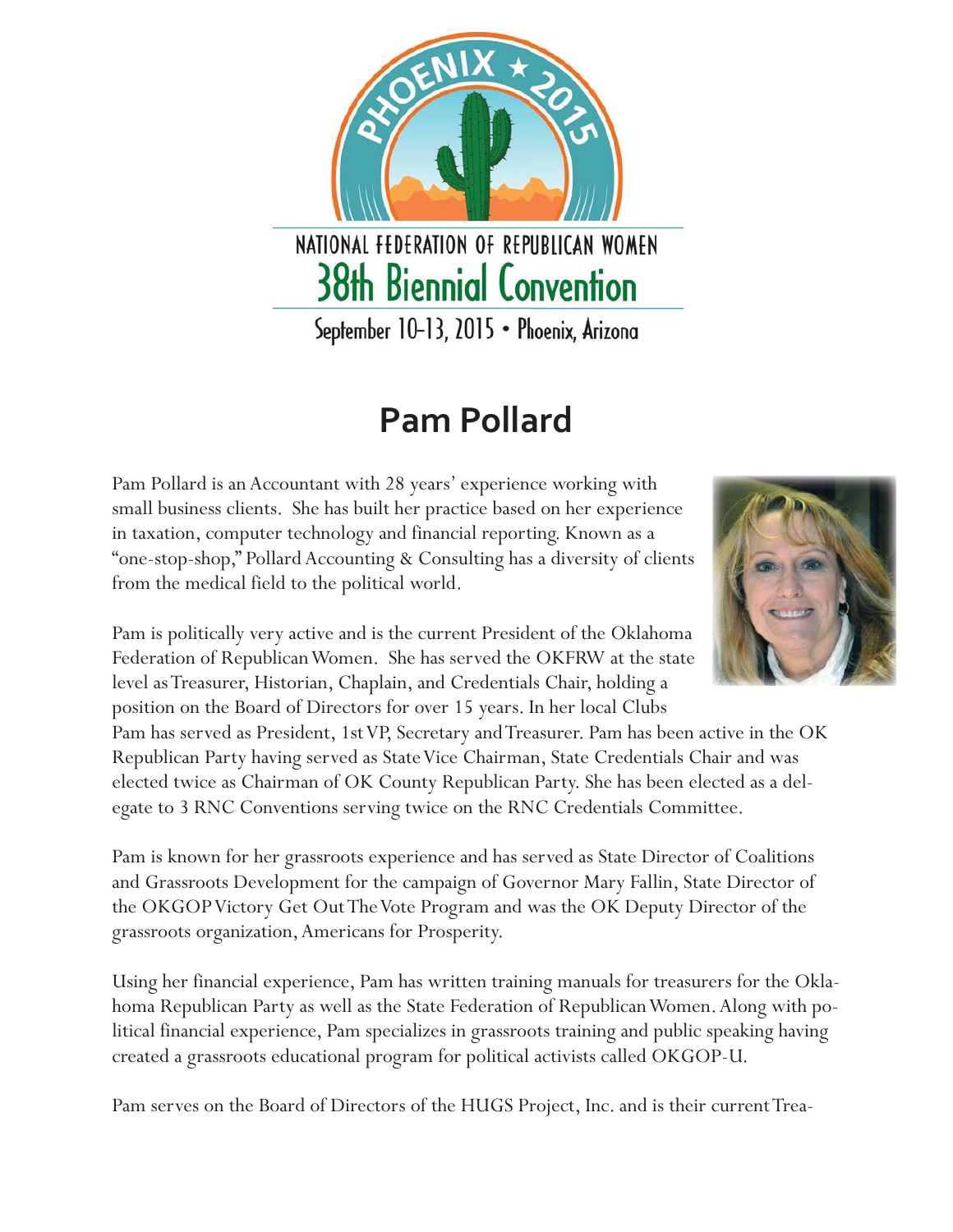

## **Pam Pollard**

Pam Pollard is an Accountant with 28 years' experience working with small business clients. She has built her practice based on her experience in taxation, computer technology and financial reporting. Known as a "one-stop-shop," Pollard Accounting & Consulting has a diversity of clients from the medical field to the political world.



Pam is politically very active and is the current President of the Oklahoma Federation of Republican Women. She has served the OKFRW at the state level as Treasurer, Historian, Chaplain, and Credentials Chair, holding a position on the Board of Directors for over 15 years. In her local Clubs

Pam has served as President, 1st VP, Secretary and Treasurer. Pam has been active in the OK Republican Party having served as State Vice Chairman, State Credentials Chair and was elected twice as Chairman of OK County Republican Party. She has been elected as a delegate to 3 RNC Conventions serving twice on the RNC Credentials Committee.

Pam is known for her grassroots experience and has served as State Director of Coalitions and Grassroots Development for the campaign of Governor Mary Fallin, State Director of the OKGOP Victory Get Out The Vote Program and was the OK Deputy Director of the grassroots organization, Americans for Prosperity.

Using her financial experience, Pam has written training manuals for treasurers for the Oklahoma Republican Party as well as the State Federation of Republican Women. Along with political financial experience, Pam specializes in grassroots training and public speaking having created a grassroots educational program for political activists called OKGOP-U.

Pam serves on the Board of Directors of the HUGS Project, Inc. and is their current Trea-